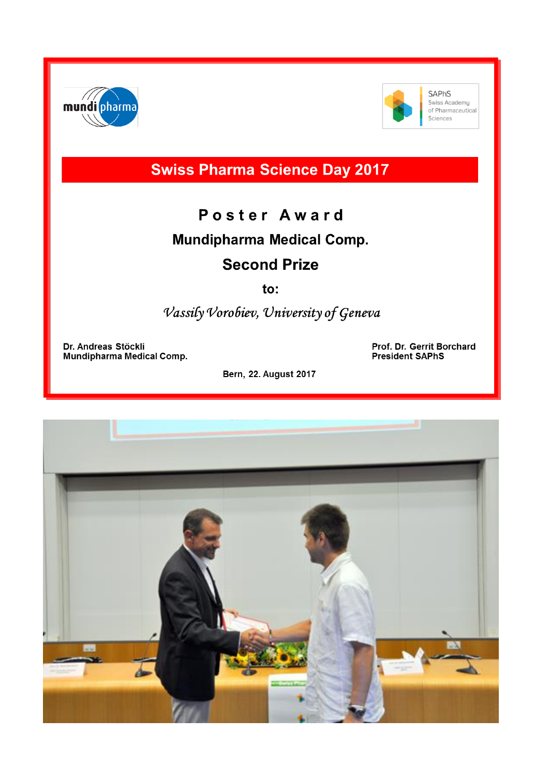



**SAPhS** Swiss Academy of Pharmaceutical Sciences

**Swiss Pharma Science Day 2017** 

## Poster Award **Mundipharma Medical Comp. Second Prize**

to:

Vassily Vorobiev, University of Geneva

Dr. Andreas Stöckli **Mundipharma Medical Comp.**  Prof. Dr. Gerrit Borchard **President SAPhS** 

**Bern, 22. August 2017**